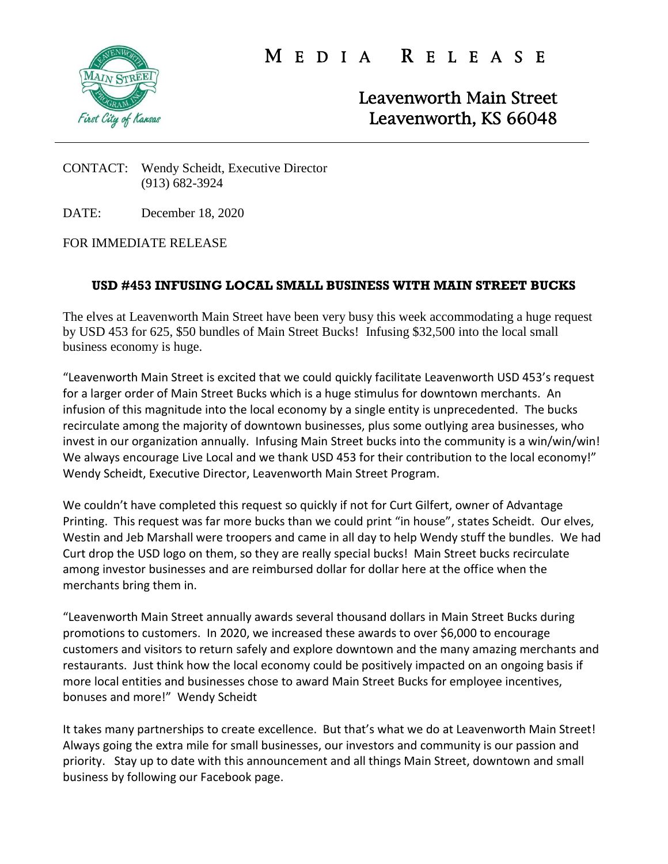

M E D I A R E L E A S E

Leavenworth Main Street Leavenworth, KS 66048

## CONTACT: Wendy Scheidt, Executive Director (913) 682-3924

DATE: December 18, 2020

FOR IMMEDIATE RELEASE

## **USD #453 INFUSING LOCAL SMALL BUSINESS WITH MAIN STREET BUCKS**

The elves at Leavenworth Main Street have been very busy this week accommodating a huge request by USD 453 for 625, \$50 bundles of Main Street Bucks! Infusing \$32,500 into the local small business economy is huge.

"Leavenworth Main Street is excited that we could quickly facilitate Leavenworth USD 453's request for a larger order of Main Street Bucks which is a huge stimulus for downtown merchants. An infusion of this magnitude into the local economy by a single entity is unprecedented. The bucks recirculate among the majority of downtown businesses, plus some outlying area businesses, who invest in our organization annually. Infusing Main Street bucks into the community is a win/win/win! We always encourage Live Local and we thank USD 453 for their contribution to the local economy!" Wendy Scheidt, Executive Director, Leavenworth Main Street Program.

We couldn't have completed this request so quickly if not for Curt Gilfert, owner of Advantage Printing. This request was far more bucks than we could print "in house", states Scheidt. Our elves, Westin and Jeb Marshall were troopers and came in all day to help Wendy stuff the bundles. We had Curt drop the USD logo on them, so they are really special bucks! Main Street bucks recirculate among investor businesses and are reimbursed dollar for dollar here at the office when the merchants bring them in.

"Leavenworth Main Street annually awards several thousand dollars in Main Street Bucks during promotions to customers. In 2020, we increased these awards to over \$6,000 to encourage customers and visitors to return safely and explore downtown and the many amazing merchants and restaurants. Just think how the local economy could be positively impacted on an ongoing basis if more local entities and businesses chose to award Main Street Bucks for employee incentives, bonuses and more!" Wendy Scheidt

It takes many partnerships to create excellence. But that's what we do at Leavenworth Main Street! Always going the extra mile for small businesses, our investors and community is our passion and priority. Stay up to date with this announcement and all things Main Street, downtown and small business by following our Facebook page.